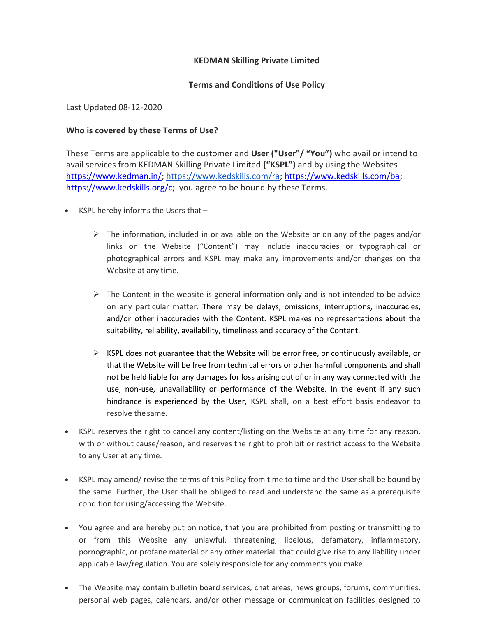## KEDMAN Skilling Private Limited

## Terms and Conditions of Use Policy

Last Updated 08-12-2020

## Who is covered by these Terms of Use?

These Terms are applicable to the customer and User ("User"/ "You") who avail or intend to avail services from KEDMAN Skilling Private Limited ("KSPL") and by using the Websites https://www.kedman.in/; https://www.kedskills.com/ra; https://www.kedskills.com/ba; https://www.kedskills.org/c; you agree to be bound by these Terms.

- $\bullet$  KSPL hereby informs the Users that  $-$ 
	- $\triangleright$  The information, included in or available on the Website or on any of the pages and/or links on the Website ("Content") may include inaccuracies or typographical or photographical errors and KSPL may make any improvements and/or changes on the Website at any time.
	- $\triangleright$  The Content in the website is general information only and is not intended to be advice on any particular matter. There may be delays, omissions, interruptions, inaccuracies, and/or other inaccuracies with the Content. KSPL makes no representations about the suitability, reliability, availability, timeliness and accuracy of the Content.
	- $\triangleright$  KSPL does not guarantee that the Website will be error free, or continuously available, or that the Website will be free from technical errors or other harmful components and shall not be held liable for any damages for loss arising out of or in any way connected with the use, non-use, unavailability or performance of the Website. In the event if any such hindrance is experienced by the User, KSPL shall, on a best effort basis endeavor to resolve the same.
- KSPL reserves the right to cancel any content/listing on the Website at any time for any reason, with or without cause/reason, and reserves the right to prohibit or restrict access to the Website to any User at any time.
- KSPL may amend/ revise the terms of this Policy from time to time and the User shall be bound by the same. Further, the User shall be obliged to read and understand the same as a prerequisite condition for using/accessing the Website.
- You agree and are hereby put on notice, that you are prohibited from posting or transmitting to or from this Website any unlawful, threatening, libelous, defamatory, inflammatory, pornographic, or profane material or any other material. that could give rise to any liability under applicable law/regulation. You are solely responsible for any comments you make.
- The Website may contain bulletin board services, chat areas, news groups, forums, communities, personal web pages, calendars, and/or other message or communication facilities designed to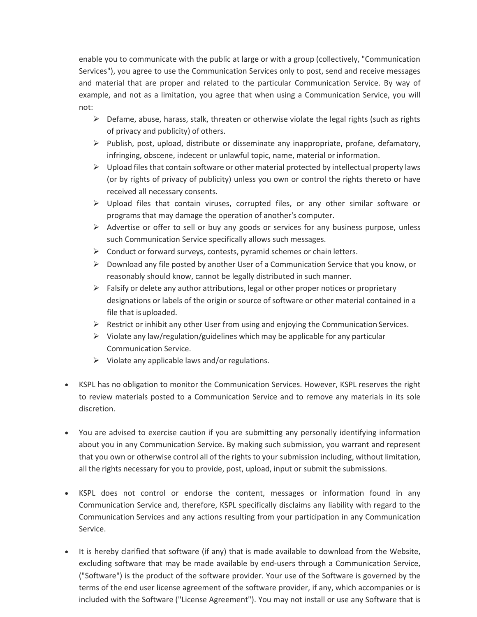enable you to communicate with the public at large or with a group (collectively, "Communication Services"), you agree to use the Communication Services only to post, send and receive messages and material that are proper and related to the particular Communication Service. By way of example, and not as a limitation, you agree that when using a Communication Service, you will not:

- $\triangleright$  Defame, abuse, harass, stalk, threaten or otherwise violate the legal rights (such as rights of privacy and publicity) of others.
- $\triangleright$  Publish, post, upload, distribute or disseminate any inappropriate, profane, defamatory, infringing, obscene, indecent or unlawful topic, name, material or information.
- $\triangleright$  Upload files that contain software or other material protected by intellectual property laws (or by rights of privacy of publicity) unless you own or control the rights thereto or have received all necessary consents.
- $\triangleright$  Upload files that contain viruses, corrupted files, or any other similar software or programs that may damage the operation of another's computer.
- $\triangleright$  Advertise or offer to sell or buy any goods or services for any business purpose, unless such Communication Service specifically allows such messages.
- $\triangleright$  Conduct or forward surveys, contests, pyramid schemes or chain letters.
- $\triangleright$  Download any file posted by another User of a Communication Service that you know, or reasonably should know, cannot be legally distributed in such manner.
- $\triangleright$  Falsify or delete any author attributions, legal or other proper notices or proprietary designations or labels of the origin or source of software or other material contained in a file that is uploaded.
- $\triangleright$  Restrict or inhibit any other User from using and enjoying the Communication Services.
- $\triangleright$  Violate any law/regulation/guidelines which may be applicable for any particular Communication Service.
- $\triangleright$  Violate any applicable laws and/or regulations.
- KSPL has no obligation to monitor the Communication Services. However, KSPL reserves the right to review materials posted to a Communication Service and to remove any materials in its sole discretion.
- You are advised to exercise caution if you are submitting any personally identifying information about you in any Communication Service. By making such submission, you warrant and represent that you own or otherwise control all of the rights to your submission including, without limitation, all the rights necessary for you to provide, post, upload, input or submit the submissions.
- KSPL does not control or endorse the content, messages or information found in any Communication Service and, therefore, KSPL specifically disclaims any liability with regard to the Communication Services and any actions resulting from your participation in any Communication Service.
- It is hereby clarified that software (if any) that is made available to download from the Website, excluding software that may be made available by end-users through a Communication Service, ("Software") is the product of the software provider. Your use of the Software is governed by the terms of the end user license agreement of the software provider, if any, which accompanies or is included with the Software ("License Agreement"). You may not install or use any Software that is